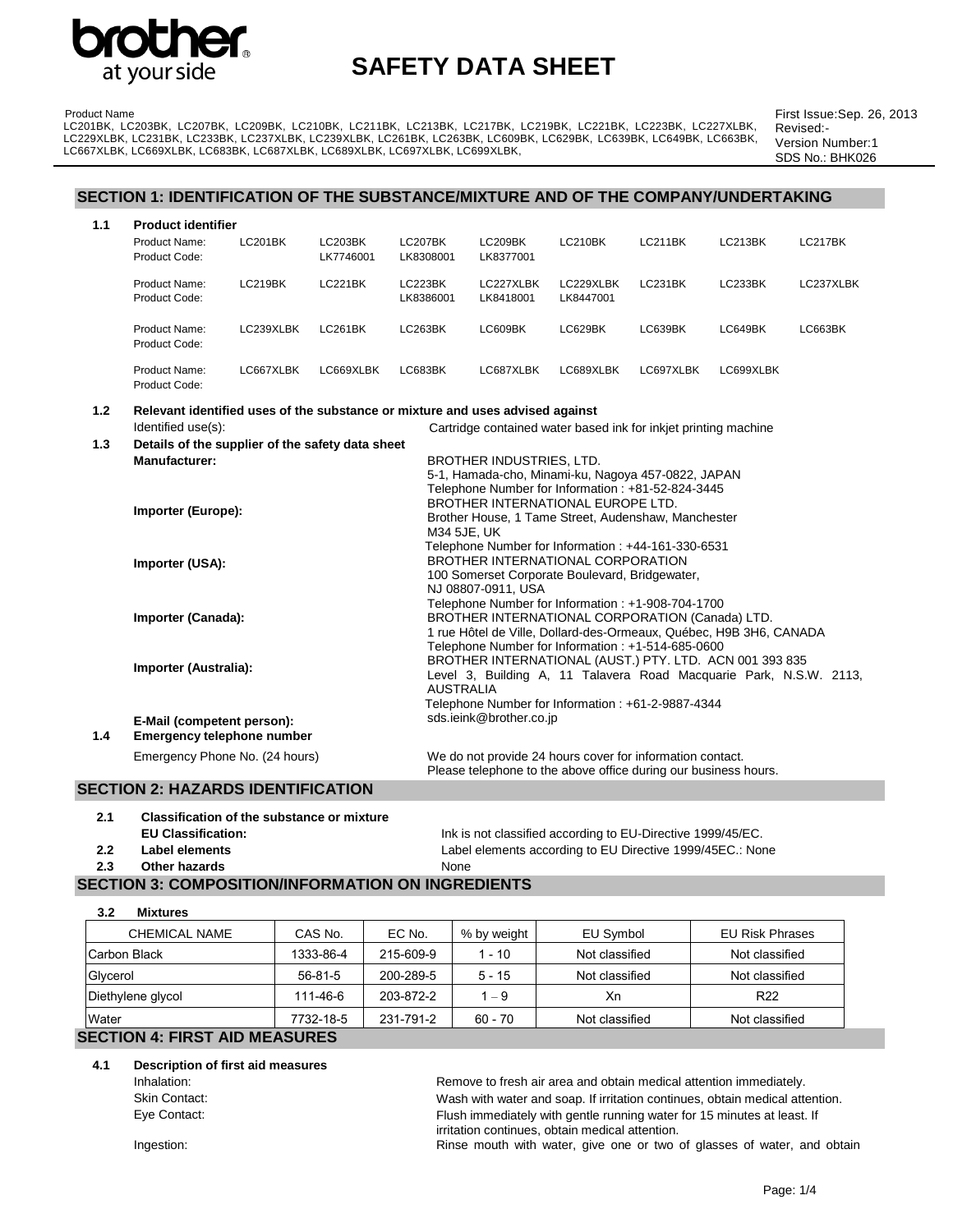

Product Name

## **SAFETY DATA SHEET**

First Issue:Sep. 26, 2013 Revised:- Version Number:1 SDS No.: BHK026

#### **SECTION 1: IDENTIFICATION OF THE SUBSTANCE/MIXTURE AND OF THE COMPANY/UNDERTAKING**

LC201BK, LC203BK, LC207BK, LC209BK, LC210BK, LC211BK, LC213BK, LC217BK, LC219BK, LC221BK, LC223BK, LC227XLBK, LC229XLBK, LC231BK, LC233BK, LC237XLBK, LC239XLBK, LC261BK, LC263BK, LC609BK, LC629BK, LC639BK, LC649BK, LC663BK,

| 1.1 | <b>Product identifier</b>      |           |                             |                             |                        |                        |                |           |           |
|-----|--------------------------------|-----------|-----------------------------|-----------------------------|------------------------|------------------------|----------------|-----------|-----------|
|     | Product Name:<br>Product Code: | LC201BK   | <b>LC203BK</b><br>LK7746001 | <b>LC207BK</b><br>LK8308001 | LC209BK<br>LK8377001   | LC210BK                | LC211BK        | LC213BK   | LC217BK   |
|     | Product Name:<br>Product Code: | LC219BK   | <b>LC221BK</b>              | LC223BK<br>LK8386001        | LC227XLBK<br>LK8418001 | LC229XLBK<br>LK8447001 | <b>LC231BK</b> | LC233BK   | LC237XLBK |
|     | Product Name:<br>Product Code: | LC239XLBK | <b>LC261BK</b>              | LC263BK                     | LC609BK                | LC629BK                | LC639BK        | LC649BK   | LC663BK   |
|     | Product Name:<br>Product Code: | LC667XLBK | LC669XLBK                   | LC683BK                     | LC687XLBK              | LC689XLBK              | LC697XLBK      | LC699XLBK |           |

**1.2 Relevant identified uses of the substance or mixture and uses advised against** Identified use(s): Cartridge contained water based ink for inkjet printing machine

LC667XLBK, LC669XLBK, LC683BK, LC687XLBK, LC689XLBK, LC697XLBK, LC699XLBK,

| 1.3 | Details of the supplier of the safety data sheet                |                                                                                        |
|-----|-----------------------------------------------------------------|----------------------------------------------------------------------------------------|
|     | <b>Manufacturer:</b>                                            | BROTHER INDUSTRIES, LTD.                                                               |
|     |                                                                 | 5-1, Hamada-cho, Minami-ku, Nagoya 457-0822, JAPAN                                     |
|     |                                                                 | Telephone Number for Information: +81-52-824-3445                                      |
|     | Importer (Europe):                                              | BROTHER INTERNATIONAL EUROPE LTD.                                                      |
|     |                                                                 | Brother House, 1 Tame Street, Audenshaw, Manchester<br>M34 5JE, UK                     |
|     |                                                                 | Telephone Number for Information: +44-161-330-6531                                     |
|     | Importer (USA):                                                 | BROTHER INTERNATIONAL CORPORATION                                                      |
|     |                                                                 | 100 Somerset Corporate Boulevard, Bridgewater,                                         |
|     |                                                                 | NJ 08807-0911. USA                                                                     |
|     |                                                                 | Telephone Number for Information: +1-908-704-1700                                      |
|     | Importer (Canada):                                              | BROTHER INTERNATIONAL CORPORATION (Canada) LTD.                                        |
|     |                                                                 | 1 rue Hôtel de Ville, Dollard-des-Ormeaux, Québec, H9B 3H6, CANADA                     |
|     |                                                                 | Telephone Number for Information: +1-514-685-0600                                      |
|     | Importer (Australia):                                           | BROTHER INTERNATIONAL (AUST.) PTY. LTD. ACN 001 393 835                                |
|     |                                                                 | Level 3, Building A, 11 Talavera Road Macquarie Park, N.S.W. 2113,<br><b>AUSTRALIA</b> |
|     |                                                                 | Telephone Number for Information: +61-2-9887-4344                                      |
|     |                                                                 | sds.ieink@brother.co.jp                                                                |
| 1.4 | E-Mail (competent person):<br><b>Emergency telephone number</b> |                                                                                        |
|     | Emergency Phone No. (24 hours)                                  | We do not provide 24 hours cover for information contact.                              |
|     |                                                                 | Please telephone to the above office during our business hours.                        |

#### **SECTION 2: HAZARDS IDENTIFICATION**

**2.1 Classification of the substance or mixture**

**2.3 Other hazards** None

**3.2 Mixtures**

**EU Classification:** Ink is not classified according to EU-Directive 1999/45/EC. **2.2 Label elements** Label elements according to EU Directive 1999/45EC.: None

#### **SECTION 3: COMPOSITION/INFORMATION ON INGREDIENTS**

| . .<br>                                                        |           |           |             |                |                        |
|----------------------------------------------------------------|-----------|-----------|-------------|----------------|------------------------|
| <b>CHEMICAL NAME</b>                                           | CAS No.   | EC No.    | % by weight | EU Symbol      | <b>EU Risk Phrases</b> |
| Carbon Black                                                   | 1333-86-4 | 215-609-9 | $1 - 10$    | Not classified | Not classified         |
| Glycerol                                                       | $56-81-5$ | 200-289-5 | $5 - 15$    | Not classified | Not classified         |
| Diethylene glycol                                              | 111-46-6  | 203-872-2 | $1 - 9$     | Хn             | R <sub>22</sub>        |
| 231-791-2<br>Water<br>$60 - 70$<br>Not classified<br>7732-18-5 |           |           |             |                | Not classified         |
| <b>SECTION 4: FIRST AID MEASURES</b>                           |           |           |             |                |                        |

**4.1 Description of first aid measures**

Inhalation: example and obtain medical attention immediately. Skin Contact: Wash with water and soap. If irritation continues, obtain medical attention. Eye Contact: Flush immediately with gentle running water for 15 minutes at least. If irritation continues, obtain medical attention.

Ingestion: **Rinse mouth with water, give one or two of glasses of water, and obtain**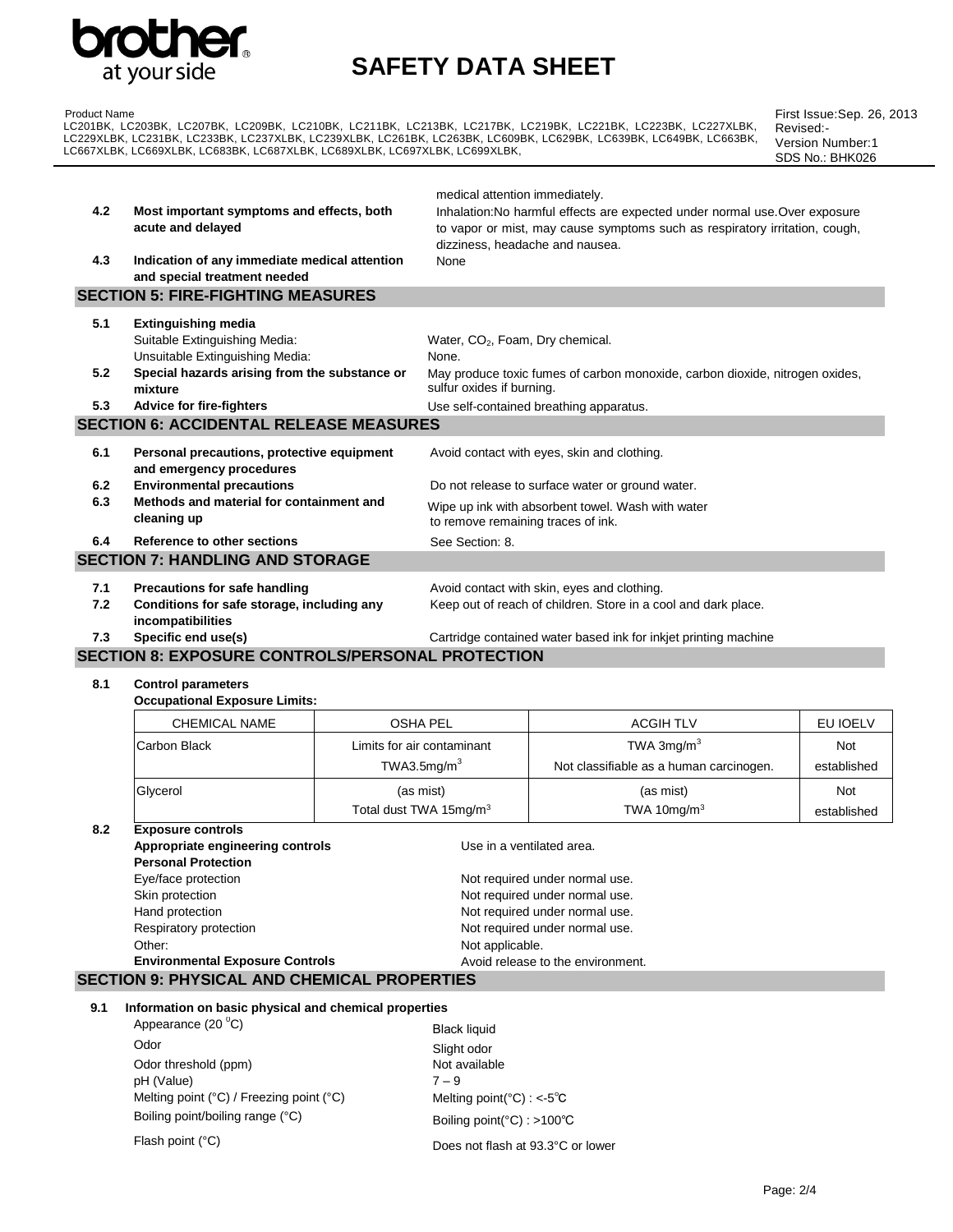

# **SAFETY DATA SHEET**

Product Name LC201BK, LC203BK, LC207BK, LC209BK, LC210BK, LC211BK, LC213BK, LC217BK, LC219BK, LC221BK, LC223BK, LC227XLBK, LC229XLBK, LC231BK, LC233BK, LC237XLBK, LC239XLBK, LC261BK, LC263BK, LC609BK, LC629BK, LC639BK, LC649BK, LC663BK, LC667XLBK, LC669XLBK, LC683BK, LC687XLBK, LC689XLBK, LC697XLBK, LC699XLBK,

First Issue:Sep. 26, 2013 Revised:- Version Number:1 SDS No.: BHK026

|     |                                                                               | medical attention immediately.                                                                                                                                                                |
|-----|-------------------------------------------------------------------------------|-----------------------------------------------------------------------------------------------------------------------------------------------------------------------------------------------|
| 4.2 | Most important symptoms and effects, both<br>acute and delayed                | Inhalation: No harmful effects are expected under normal use. Over exposure<br>to vapor or mist, may cause symptoms such as respiratory irritation, cough,<br>dizziness, headache and nausea. |
| 4.3 | Indication of any immediate medical attention<br>and special treatment needed | None                                                                                                                                                                                          |
|     | <b>SECTION 5: FIRE-FIGHTING MEASURES</b>                                      |                                                                                                                                                                                               |
| 5.1 | <b>Extinguishing media</b>                                                    |                                                                                                                                                                                               |
|     | Suitable Extinguishing Media:<br>Unsuitable Extinguishing Media:              | Water, CO <sub>2</sub> , Foam, Dry chemical.<br>None.                                                                                                                                         |
| 5.2 | Special hazards arising from the substance or<br>mixture                      | May produce toxic fumes of carbon monoxide, carbon dioxide, nitrogen oxides,<br>sulfur oxides if burning.                                                                                     |
| 5.3 | <b>Advice for fire-fighters</b>                                               | Use self-contained breathing apparatus.                                                                                                                                                       |
|     | <b>SECTION 6: ACCIDENTAL RELEASE MEASURES</b>                                 |                                                                                                                                                                                               |
| 6.1 | Personal precautions, protective equipment<br>and emergency procedures        | Avoid contact with eyes, skin and clothing.                                                                                                                                                   |
| 6.2 | <b>Environmental precautions</b>                                              | Do not release to surface water or ground water.                                                                                                                                              |
| 6.3 | Methods and material for containment and<br>cleaning up                       | Wipe up ink with absorbent towel. Wash with water<br>to remove remaining traces of ink.                                                                                                       |
| 6.4 | Reference to other sections                                                   | See Section: 8.                                                                                                                                                                               |
|     | <b>SECTION 7: HANDLING AND STORAGE</b>                                        |                                                                                                                                                                                               |
| 7.1 | Precautions for safe handling                                                 | Avoid contact with skin, eyes and clothing.                                                                                                                                                   |
| 7.2 | Conditions for safe storage, including any<br>incompatibilities               | Keep out of reach of children. Store in a cool and dark place.                                                                                                                                |
| 7.3 | Specific end use(s)                                                           | Cartridge contained water based ink for inkiet printing machine                                                                                                                               |

### **SECTION 8: EXPOSURE CONTROLS/PERSONAL PROTECTION**

**8.1 Control parameters**

| <b>Occupational Exposure Limits:</b> |                                                       |                                                           |                                                                  |             |  |  |  |
|--------------------------------------|-------------------------------------------------------|-----------------------------------------------------------|------------------------------------------------------------------|-------------|--|--|--|
|                                      | <b>CHEMICAL NAME</b>                                  | <b>OSHA PEL</b>                                           | <b>ACGIH TLV</b>                                                 | EU IOELV    |  |  |  |
|                                      | Carbon Black                                          | Limits for air contaminant                                | TWA $3mg/m3$                                                     | Not         |  |  |  |
|                                      |                                                       | TWA3.5 $mg/m3$<br>Not classifiable as a human carcinogen. |                                                                  | established |  |  |  |
|                                      | Glycerol                                              | (as mist)                                                 | (as mist)                                                        | <b>Not</b>  |  |  |  |
|                                      |                                                       | Total dust TWA 15mg/m <sup>3</sup>                        | TWA 10 $mq/m3$                                                   | established |  |  |  |
| 8.2                                  | <b>Exposure controls</b>                              |                                                           |                                                                  |             |  |  |  |
|                                      | Appropriate engineering controls                      |                                                           | Use in a ventilated area.                                        |             |  |  |  |
|                                      | <b>Personal Protection</b>                            |                                                           |                                                                  |             |  |  |  |
|                                      | Eye/face protection                                   |                                                           | Not required under normal use.                                   |             |  |  |  |
|                                      | Skin protection                                       |                                                           | Not required under normal use.<br>Not required under normal use. |             |  |  |  |
|                                      | Hand protection                                       |                                                           |                                                                  |             |  |  |  |
|                                      | Respiratory protection                                |                                                           | Not required under normal use.                                   |             |  |  |  |
|                                      | Other:                                                |                                                           | Not applicable.                                                  |             |  |  |  |
|                                      | <b>Environmental Exposure Controls</b>                |                                                           | Avoid release to the environment.                                |             |  |  |  |
|                                      | <b>SECTION 9: PHYSICAL AND CHEMICAL PROPERTIES</b>    |                                                           |                                                                  |             |  |  |  |
| 9.1                                  | Information on basic physical and chemical properties |                                                           |                                                                  |             |  |  |  |

**9.1 Information on basic physical and chemical properties**

Appearance  $(20 \degree C)$  Black liquid Odor<br>Odor threshold (ppm) and the Slight odor<br>Not available Odor threshold (ppm) pH (Value) 7 – 9 Melting point (°C) / Freezing point (°C) Melting point (°C) : <-5°C Boiling point/boiling range (°C) Boiling point(°C) : >100°C

Flash point (°C) Does not flash at 93.3°C or lower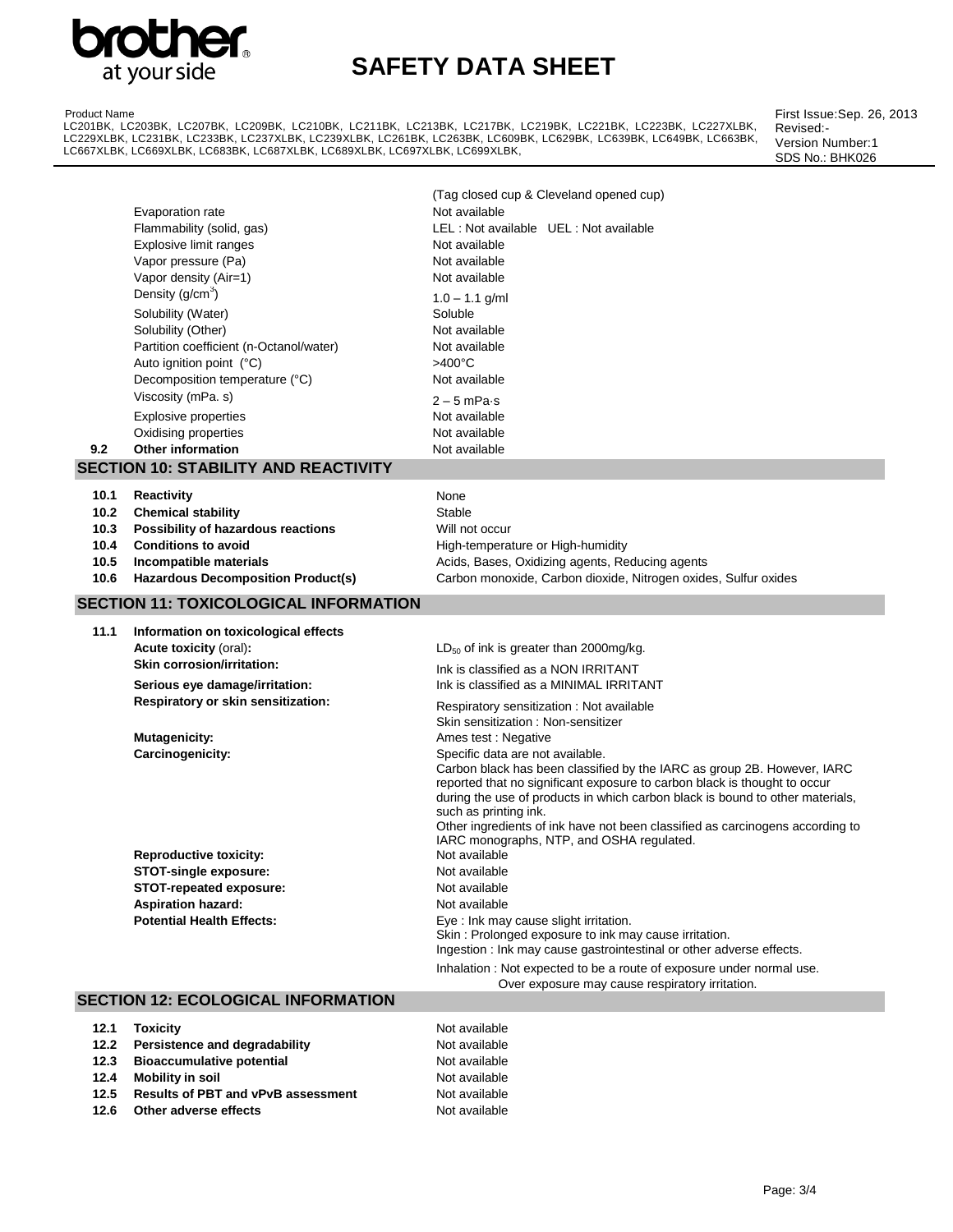

# **SAFETY DATA SHEET**

Product Name

LC201BK, LC203BK, LC207BK, LC209BK, LC210BK, LC211BK, LC213BK, LC217BK, LC219BK, LC221BK, LC223BK, LC227XLBK, LC229XLBK, LC231BK, LC233BK, LC237XLBK, LC239XLBK, LC261BK, LC263BK, LC609BK, LC629BK, LC639BK, LC649BK, LC663BK, LC667XLBK, LC669XLBK, LC683BK, LC687XLBK, LC689XLBK, LC697XLBK, LC699XLBK,

First Issue:Sep. 26, 2013 Revised:- Version Number:1 SDS No.: BHK026

| 9.2                          | Evaporation rate<br>Flammability (solid, gas)<br>Explosive limit ranges<br>Vapor pressure (Pa)<br>Vapor density (Air=1)<br>Density $(g/cm3)$<br>Solubility (Water)<br>Solubility (Other)<br>Partition coefficient (n-Octanol/water)<br>Auto ignition point (°C)<br>Decomposition temperature (°C)<br>Viscosity (mPa. s)<br><b>Explosive properties</b><br>Oxidising properties<br><b>Other information</b><br><b>SECTION 10: STABILITY AND REACTIVITY</b> | (Tag closed cup & Cleveland opened cup)<br>Not available<br>LEL: Not available UEL: Not available<br>Not available<br>Not available<br>Not available<br>$1.0 - 1.1$ g/ml<br>Soluble<br>Not available<br>Not available<br>$>400^{\circ}$ C<br>Not available<br>$2 - 5$ mPa $\cdot$ s<br>Not available<br>Not available<br>Not available                                                                                                                                                                                                     |
|------------------------------|-----------------------------------------------------------------------------------------------------------------------------------------------------------------------------------------------------------------------------------------------------------------------------------------------------------------------------------------------------------------------------------------------------------------------------------------------------------|--------------------------------------------------------------------------------------------------------------------------------------------------------------------------------------------------------------------------------------------------------------------------------------------------------------------------------------------------------------------------------------------------------------------------------------------------------------------------------------------------------------------------------------------|
| 10.1<br>10.2<br>10.3<br>10.4 | Reactivity<br><b>Chemical stability</b><br>Possibility of hazardous reactions<br><b>Conditions to avoid</b>                                                                                                                                                                                                                                                                                                                                               | None<br>Stable<br>Will not occur<br>High-temperature or High-humidity                                                                                                                                                                                                                                                                                                                                                                                                                                                                      |
| 10.5<br>10.6                 | Incompatible materials<br><b>Hazardous Decomposition Product(s)</b>                                                                                                                                                                                                                                                                                                                                                                                       | Acids, Bases, Oxidizing agents, Reducing agents<br>Carbon monoxide, Carbon dioxide, Nitrogen oxides, Sulfur oxides                                                                                                                                                                                                                                                                                                                                                                                                                         |
|                              | <b>SECTION 11: TOXICOLOGICAL INFORMATION</b>                                                                                                                                                                                                                                                                                                                                                                                                              |                                                                                                                                                                                                                                                                                                                                                                                                                                                                                                                                            |
| 11.1                         | Information on toxicological effects<br>Acute toxicity (oral):<br><b>Skin corrosion/irritation:</b><br>Serious eye damage/irritation:                                                                                                                                                                                                                                                                                                                     | $LD_{50}$ of ink is greater than 2000mg/kg.<br>Ink is classified as a NON IRRITANT<br>Ink is classified as a MINIMAL IRRITANT                                                                                                                                                                                                                                                                                                                                                                                                              |
|                              | Respiratory or skin sensitization:<br><b>Mutagenicity:</b><br>Carcinogenicity:                                                                                                                                                                                                                                                                                                                                                                            | Respiratory sensitization: Not available<br>Skin sensitization: Non-sensitizer<br>Ames test : Negative<br>Specific data are not available.<br>Carbon black has been classified by the IARC as group 2B. However, IARC<br>reported that no significant exposure to carbon black is thought to occur<br>during the use of products in which carbon black is bound to other materials,<br>such as printing ink.<br>Other ingredients of ink have not been classified as carcinogens according to<br>IARC monographs, NTP, and OSHA regulated. |
|                              | <b>Reproductive toxicity:</b><br><b>STOT-single exposure:</b><br>STOT-repeated exposure:<br><b>Aspiration hazard:</b><br><b>Potential Health Effects:</b>                                                                                                                                                                                                                                                                                                 | Not available<br>Not available<br>Not available<br>Not available<br>Eye: Ink may cause slight irritation.<br>Skin: Prolonged exposure to ink may cause irritation.<br>Ingestion : Ink may cause gastrointestinal or other adverse effects.                                                                                                                                                                                                                                                                                                 |
|                              | <b>SECTION 12: ECOLOGICAL INFORMATION</b>                                                                                                                                                                                                                                                                                                                                                                                                                 | Inhalation : Not expected to be a route of exposure under normal use.<br>Over exposure may cause respiratory irritation.                                                                                                                                                                                                                                                                                                                                                                                                                   |
|                              |                                                                                                                                                                                                                                                                                                                                                                                                                                                           |                                                                                                                                                                                                                                                                                                                                                                                                                                                                                                                                            |

| 12.1 | Toxicitv                                  | Not available |
|------|-------------------------------------------|---------------|
|      | 12.2 Persistence and degradability        | Not available |
|      | 12.3 Bioaccumulative potential            | Not available |
| 12.4 | Mobility in soil                          | Not available |
| 12.5 | <b>Results of PBT and vPvB assessment</b> | Not available |
| 12.6 | Other adverse effects                     | Not available |